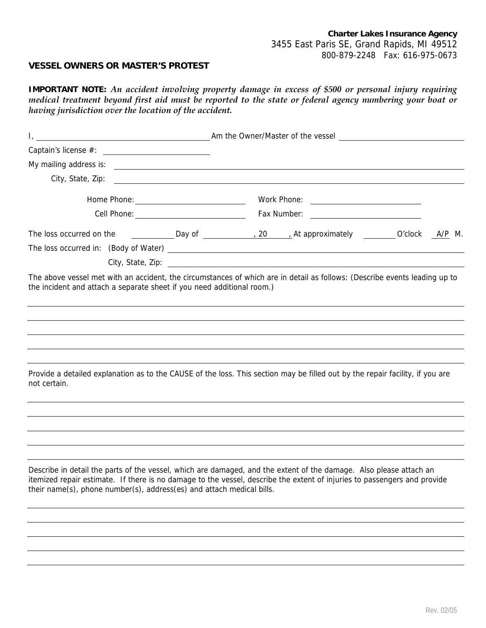## **VESSEL OWNERS OR MASTER'S PROTEST**

**IMPORTANT NOTE:** *An accident involving property damage in excess of \$500 or personal injury requiring medical treatment beyond first aid must be reported to the state or federal agency numbering your boat or having jurisdiction over the location of the accident.* 

|                                                                        |  |  |  | Am the Owner/Master of the vessel with the Community of the vessel with the Vessel with the Vessel with the Community of the vessel with the Community of the vessel with the Community of the Vessel with the Community of th                 |  |  |
|------------------------------------------------------------------------|--|--|--|------------------------------------------------------------------------------------------------------------------------------------------------------------------------------------------------------------------------------------------------|--|--|
|                                                                        |  |  |  |                                                                                                                                                                                                                                                |  |  |
|                                                                        |  |  |  |                                                                                                                                                                                                                                                |  |  |
| City, State, Zip:                                                      |  |  |  |                                                                                                                                                                                                                                                |  |  |
|                                                                        |  |  |  |                                                                                                                                                                                                                                                |  |  |
|                                                                        |  |  |  |                                                                                                                                                                                                                                                |  |  |
|                                                                        |  |  |  | The loss occurred on the _____________Day of _______________, 20 _____, At approximately __________O'clock ________M.                                                                                                                          |  |  |
|                                                                        |  |  |  |                                                                                                                                                                                                                                                |  |  |
|                                                                        |  |  |  |                                                                                                                                                                                                                                                |  |  |
| the incident and attach a separate sheet if you need additional room.) |  |  |  |                                                                                                                                                                                                                                                |  |  |
| not certain.                                                           |  |  |  | Provide a detailed explanation as to the CAUSE of the loss. This section may be filled out by the repair facility, if you are                                                                                                                  |  |  |
| their name(s), phone number(s), address(es) and attach medical bills.  |  |  |  | Describe in detail the parts of the vessel, which are damaged, and the extent of the damage. Also please attach an<br>itemized repair estimate. If there is no damage to the vessel, describe the extent of injuries to passengers and provide |  |  |
|                                                                        |  |  |  |                                                                                                                                                                                                                                                |  |  |